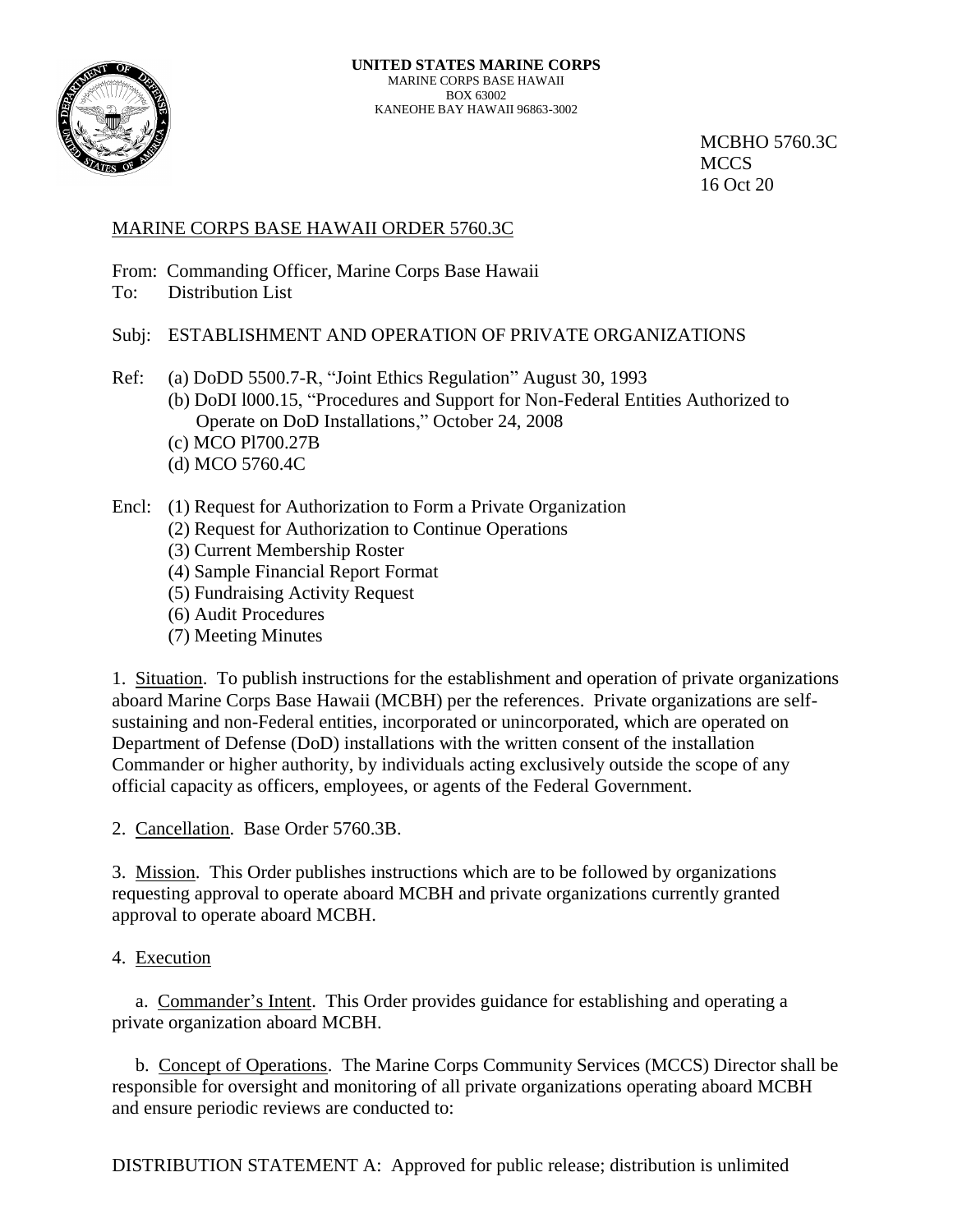

 MCBHO 5760.3C 16 Oct 20

## MARINE CORPS BASE HAWAII ORDER 5760.3C

From: Commanding Officer, Marine Corps Base Hawaii

To: Distribution List

# Subj: ESTABLISHMENT AND OPERATION OF PRIVATE ORGANIZATIONS

- Ref: (a) DoDD 5500.7-R, "Joint Ethics Regulation" August 30, 1993 (b) DoDI l000.15, "Procedures and Support for Non-Federal Entities Authorized to Operate on DoD Installations," October 24, 2008
	- (c) MCO Pl700.27B
	- (d) MCO 5760.4C

## Encl: (1) Request for Authorization to Form a Private Organization

- (2) Request for Authorization to Continue Operations
- (3) Current Membership Roster
- (4) Sample Financial Report Format
- (5) Fundraising Activity Request
- (6) Audit Procedures
- (7) Meeting Minutes

1. Situation. To publish instructions for the establishment and operation of private organizations aboard Marine Corps Base Hawaii (MCBH) per the references. Private organizations are selfsustaining and non-Federal entities, incorporated or unincorporated, which are operated on Department of Defense (DoD) installations with the written consent of the installation Commander or higher authority, by individuals acting exclusively outside the scope of any official capacity as officers, employees, or agents of the Federal Government.

2. Cancellation. Base Order 5760.3B.

3. Mission. This Order publishes instructions which are to be followed by organizations requesting approval to operate aboard MCBH and private organizations currently granted approval to operate aboard MCBH.

## 4. Execution

 a. Commander's Intent. This Order provides guidance for establishing and operating a private organization aboard MCBH.

 b. Concept of Operations. The Marine Corps Community Services (MCCS) Director shall be responsible for oversight and monitoring of all private organizations operating aboard MCBH and ensure periodic reviews are conducted to:

DISTRIBUTION STATEMENT A: Approved for public release; distribution is unlimited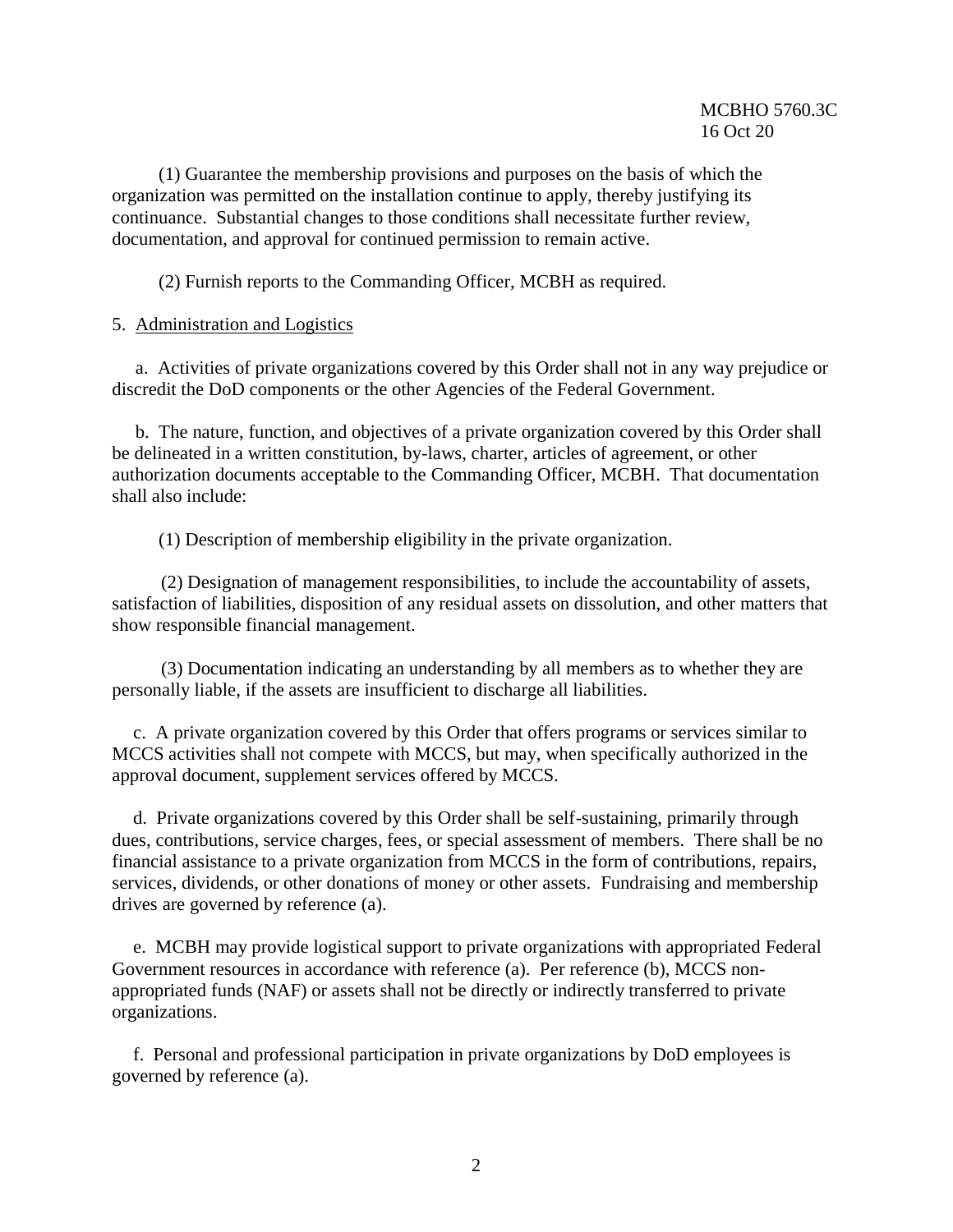(1) Guarantee the membership provisions and purposes on the basis of which the organization was permitted on the installation continue to apply, thereby justifying its continuance. Substantial changes to those conditions shall necessitate further review, documentation, and approval for continued permission to remain active.

(2) Furnish reports to the Commanding Officer, MCBH as required.

#### 5. Administration and Logistics

 a. Activities of private organizations covered by this Order shall not in any way prejudice or discredit the DoD components or the other Agencies of the Federal Government.

 b. The nature, function, and objectives of a private organization covered by this Order shall be delineated in a written constitution, by-laws, charter, articles of agreement, or other authorization documents acceptable to the Commanding Officer, MCBH. That documentation shall also include:

(1) Description of membership eligibility in the private organization.

(2) Designation of management responsibilities, to include the accountability of assets, satisfaction of liabilities, disposition of any residual assets on dissolution, and other matters that show responsible financial management.

(3) Documentation indicating an understanding by all members as to whether they are personally liable, if the assets are insufficient to discharge all liabilities.

c. A private organization covered by this Order that offers programs or services similar to MCCS activities shall not compete with MCCS, but may, when specifically authorized in the approval document, supplement services offered by MCCS.

d. Private organizations covered by this Order shall be self-sustaining, primarily through dues, contributions, service charges, fees, or special assessment of members. There shall be no financial assistance to a private organization from MCCS in the form of contributions, repairs, services, dividends, or other donations of money or other assets. Fundraising and membership drives are governed by reference (a).

e. MCBH may provide logistical support to private organizations with appropriated Federal Government resources in accordance with reference (a). Per reference (b), MCCS nonappropriated funds (NAF) or assets shall not be directly or indirectly transferred to private organizations.

f. Personal and professional participation in private organizations by DoD employees is governed by reference (a).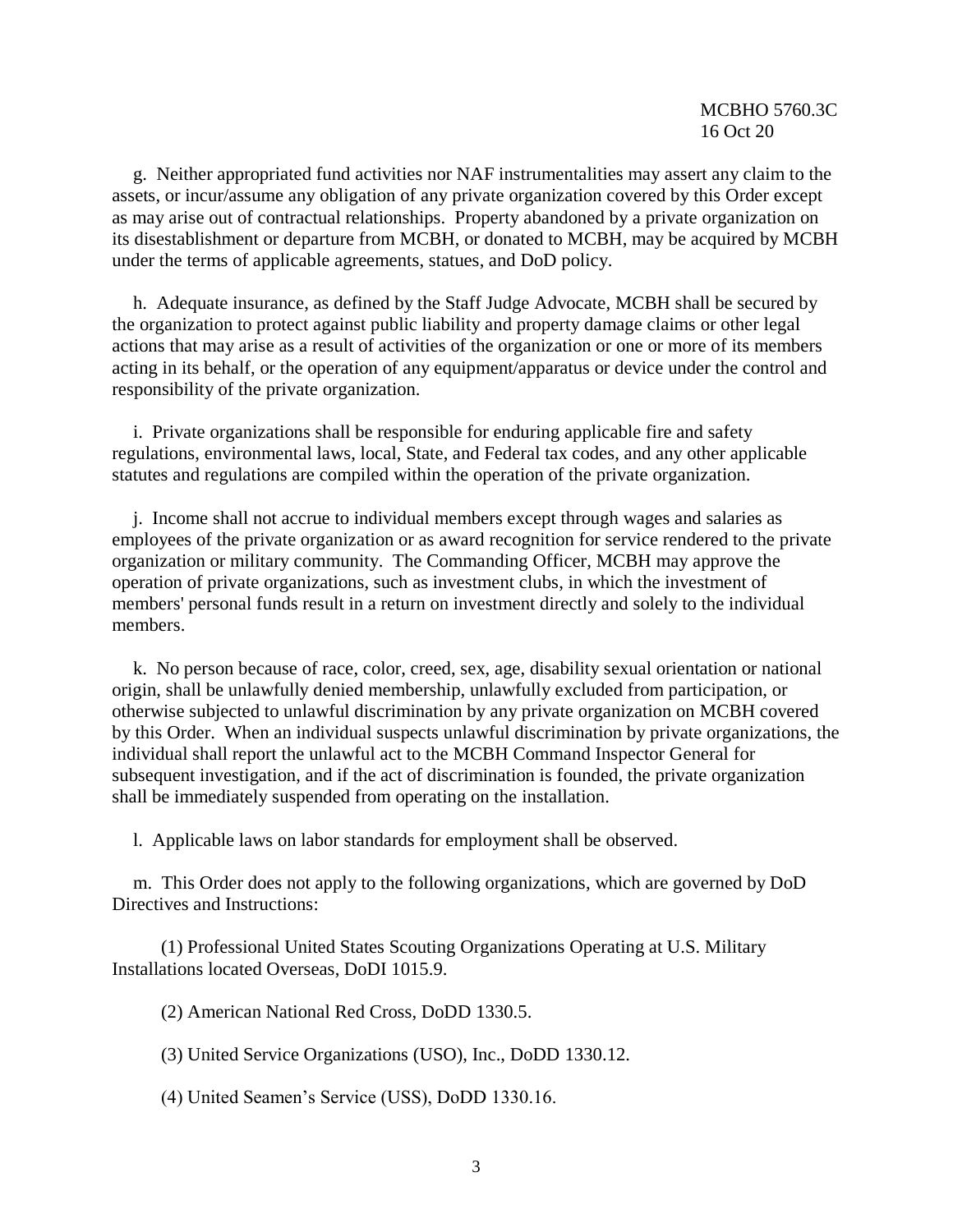g. Neither appropriated fund activities nor NAF instrumentalities may assert any claim to the assets, or incur/assume any obligation of any private organization covered by this Order except as may arise out of contractual relationships. Property abandoned by a private organization on its disestablishment or departure from MCBH, or donated to MCBH, may be acquired by MCBH under the terms of applicable agreements, statues, and DoD policy.

h. Adequate insurance, as defined by the Staff Judge Advocate, MCBH shall be secured by the organization to protect against public liability and property damage claims or other legal actions that may arise as a result of activities of the organization or one or more of its members acting in its behalf, or the operation of any equipment/apparatus or device under the control and responsibility of the private organization.

i. Private organizations shall be responsible for enduring applicable fire and safety regulations, environmental laws, local, State, and Federal tax codes, and any other applicable statutes and regulations are compiled within the operation of the private organization.

j. Income shall not accrue to individual members except through wages and salaries as employees of the private organization or as award recognition for service rendered to the private organization or military community. The Commanding Officer, MCBH may approve the operation of private organizations, such as investment clubs, in which the investment of members' personal funds result in a return on investment directly and solely to the individual members.

k. No person because of race, color, creed, sex, age, disability sexual orientation or national origin, shall be unlawfully denied membership, unlawfully excluded from participation, or otherwise subjected to unlawful discrimination by any private organization on MCBH covered by this Order. When an individual suspects unlawful discrimination by private organizations, the individual shall report the unlawful act to the MCBH Command Inspector General for subsequent investigation, and if the act of discrimination is founded, the private organization shall be immediately suspended from operating on the installation.

l. Applicable laws on labor standards for employment shall be observed.

m. This Order does not apply to the following organizations, which are governed by DoD Directives and Instructions:

(1) Professional United States Scouting Organizations Operating at U.S. Military Installations located Overseas, DoDI 1015.9.

(2) American National Red Cross, DoDD 1330.5.

(3) United Service Organizations (USO), Inc., DoDD 1330.12.

(4) United Seamen's Service (USS), DoDD 1330.16.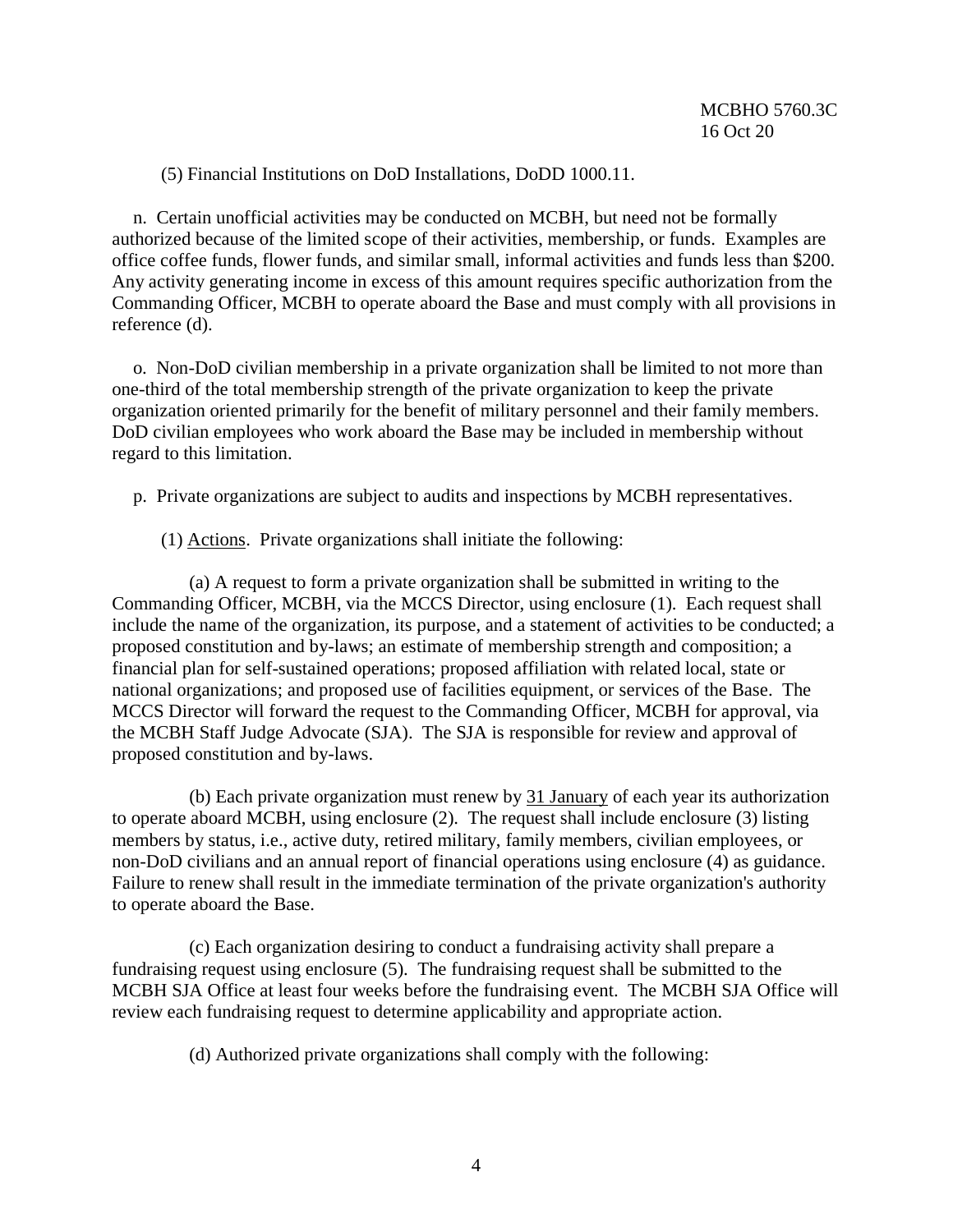(5) Financial Institutions on DoD Installations, DoDD 1000.11.

n. Certain unofficial activities may be conducted on MCBH, but need not be formally authorized because of the limited scope of their activities, membership, or funds. Examples are office coffee funds, flower funds, and similar small, informal activities and funds less than \$200. Any activity generating income in excess of this amount requires specific authorization from the Commanding Officer, MCBH to operate aboard the Base and must comply with all provisions in reference (d).

o. Non-DoD civilian membership in a private organization shall be limited to not more than one-third of the total membership strength of the private organization to keep the private organization oriented primarily for the benefit of military personnel and their family members. DoD civilian employees who work aboard the Base may be included in membership without regard to this limitation.

p. Private organizations are subject to audits and inspections by MCBH representatives.

(1) Actions. Private organizations shall initiate the following:

(a) A request to form a private organization shall be submitted in writing to the Commanding Officer, MCBH, via the MCCS Director, using enclosure (1). Each request shall include the name of the organization, its purpose, and a statement of activities to be conducted; a proposed constitution and by-laws; an estimate of membership strength and composition; a financial plan for self-sustained operations; proposed affiliation with related local, state or national organizations; and proposed use of facilities equipment, or services of the Base. The MCCS Director will forward the request to the Commanding Officer, MCBH for approval, via the MCBH Staff Judge Advocate (SJA). The SJA is responsible for review and approval of proposed constitution and by-laws.

(b) Each private organization must renew by 31 January of each year its authorization to operate aboard MCBH, using enclosure (2). The request shall include enclosure (3) listing members by status, i.e., active duty, retired military, family members, civilian employees, or non-DoD civilians and an annual report of financial operations using enclosure (4) as guidance. Failure to renew shall result in the immediate termination of the private organization's authority to operate aboard the Base.

(c) Each organization desiring to conduct a fundraising activity shall prepare a fundraising request using enclosure (5). The fundraising request shall be submitted to the MCBH SJA Office at least four weeks before the fundraising event. The MCBH SJA Office will review each fundraising request to determine applicability and appropriate action.

(d) Authorized private organizations shall comply with the following: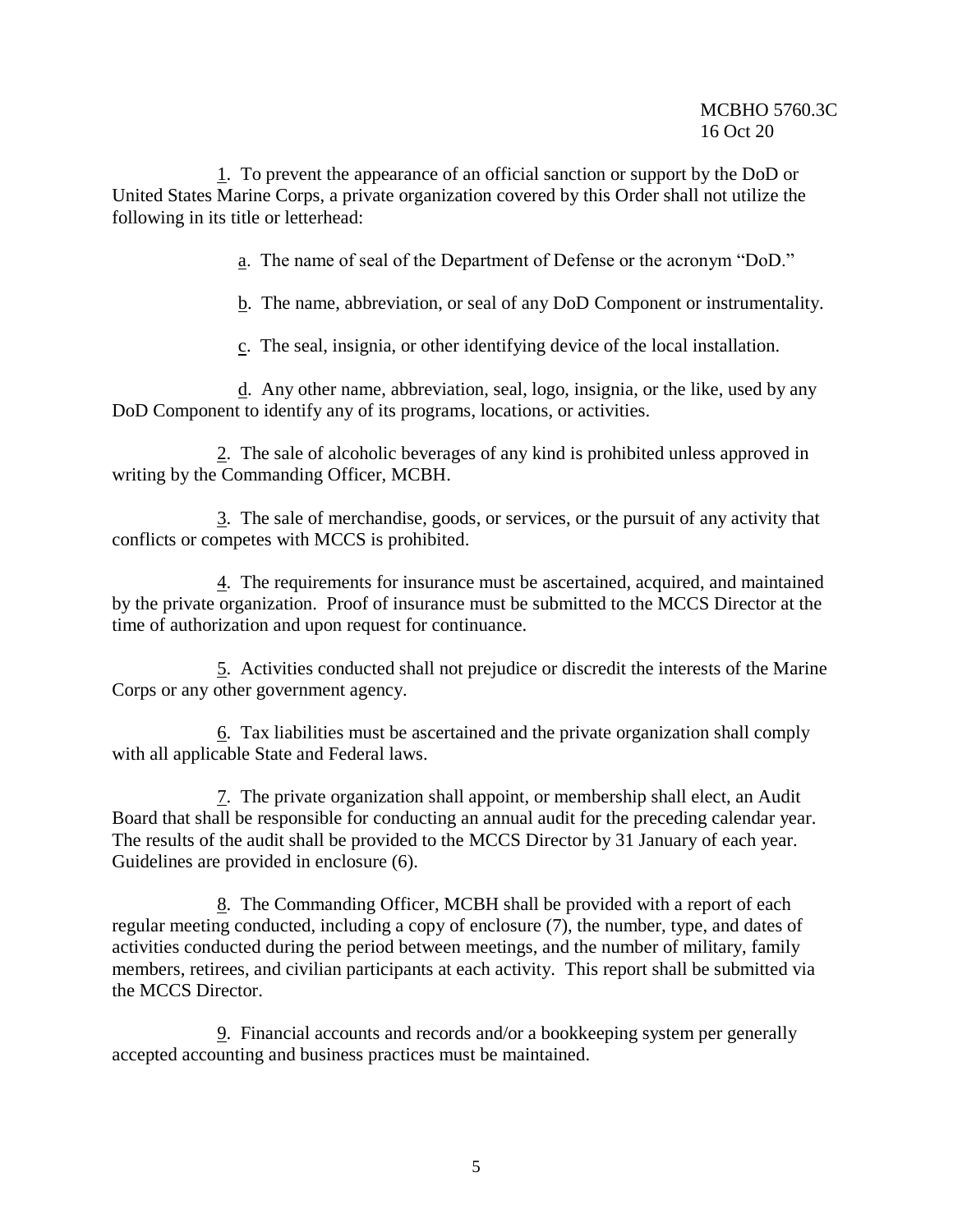1. To prevent the appearance of an official sanction or support by the DoD or United States Marine Corps, a private organization covered by this Order shall not utilize the following in its title or letterhead:

a. The name of seal of the Department of Defense or the acronym "DoD."

b. The name, abbreviation, or seal of any DoD Component or instrumentality.

c. The seal, insignia, or other identifying device of the local installation.

d. Any other name, abbreviation, seal, logo, insignia, or the like, used by any DoD Component to identify any of its programs, locations, or activities.

2. The sale of alcoholic beverages of any kind is prohibited unless approved in writing by the Commanding Officer, MCBH.

3. The sale of merchandise, goods, or services, or the pursuit of any activity that conflicts or competes with MCCS is prohibited.

4. The requirements for insurance must be ascertained, acquired, and maintained by the private organization. Proof of insurance must be submitted to the MCCS Director at the time of authorization and upon request for continuance.

5. Activities conducted shall not prejudice or discredit the interests of the Marine Corps or any other government agency.

6. Tax liabilities must be ascertained and the private organization shall comply with all applicable State and Federal laws.

7. The private organization shall appoint, or membership shall elect, an Audit Board that shall be responsible for conducting an annual audit for the preceding calendar year. The results of the audit shall be provided to the MCCS Director by 31 January of each year. Guidelines are provided in enclosure (6).

8. The Commanding Officer, MCBH shall be provided with a report of each regular meeting conducted, including a copy of enclosure (7), the number, type, and dates of activities conducted during the period between meetings, and the number of military, family members, retirees, and civilian participants at each activity. This report shall be submitted via the MCCS Director.

9. Financial accounts and records and/or a bookkeeping system per generally accepted accounting and business practices must be maintained.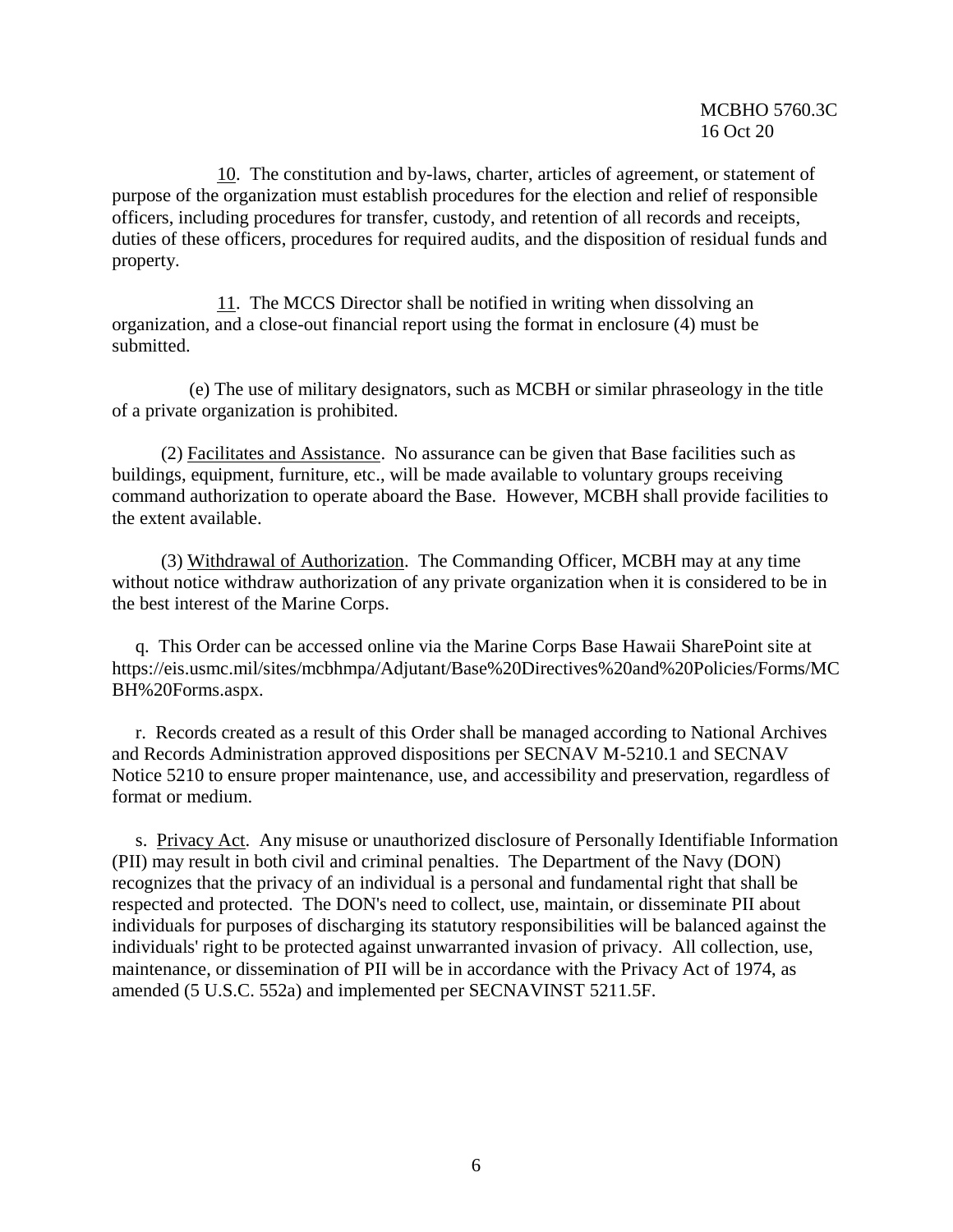10. The constitution and by-laws, charter, articles of agreement, or statement of purpose of the organization must establish procedures for the election and relief of responsible officers, including procedures for transfer, custody, and retention of all records and receipts, duties of these officers, procedures for required audits, and the disposition of residual funds and property.

11. The MCCS Director shall be notified in writing when dissolving an organization, and a close-out financial report using the format in enclosure (4) must be submitted.

(e) The use of military designators, such as MCBH or similar phraseology in the title of a private organization is prohibited.

(2) Facilitates and Assistance. No assurance can be given that Base facilities such as buildings, equipment, furniture, etc., will be made available to voluntary groups receiving command authorization to operate aboard the Base. However, MCBH shall provide facilities to the extent available.

(3) Withdrawal of Authorization. The Commanding Officer, MCBH may at any time without notice withdraw authorization of any private organization when it is considered to be in the best interest of the Marine Corps.

 q. This Order can be accessed online via the Marine Corps Base Hawaii SharePoint site at https://eis.usmc.mil/sites/mcbhmpa/Adjutant/Base%20Directives%20and%20Policies/Forms/MC BH%20Forms.aspx.

 r. Records created as a result of this Order shall be managed according to National Archives and Records Administration approved dispositions per SECNAV M-5210.1 and SECNAV Notice 5210 to ensure proper maintenance, use, and accessibility and preservation, regardless of format or medium.

 s. Privacy Act. Any misuse or unauthorized disclosure of Personally Identifiable Information (PII) may result in both civil and criminal penalties. The Department of the Navy (DON) recognizes that the privacy of an individual is a personal and fundamental right that shall be respected and protected. The DON's need to collect, use, maintain, or disseminate PII about individuals for purposes of discharging its statutory responsibilities will be balanced against the individuals' right to be protected against unwarranted invasion of privacy. All collection, use, maintenance, or dissemination of PII will be in accordance with the Privacy Act of 1974, as amended (5 U.S.C. 552a) and implemented per SECNAVINST 5211.5F.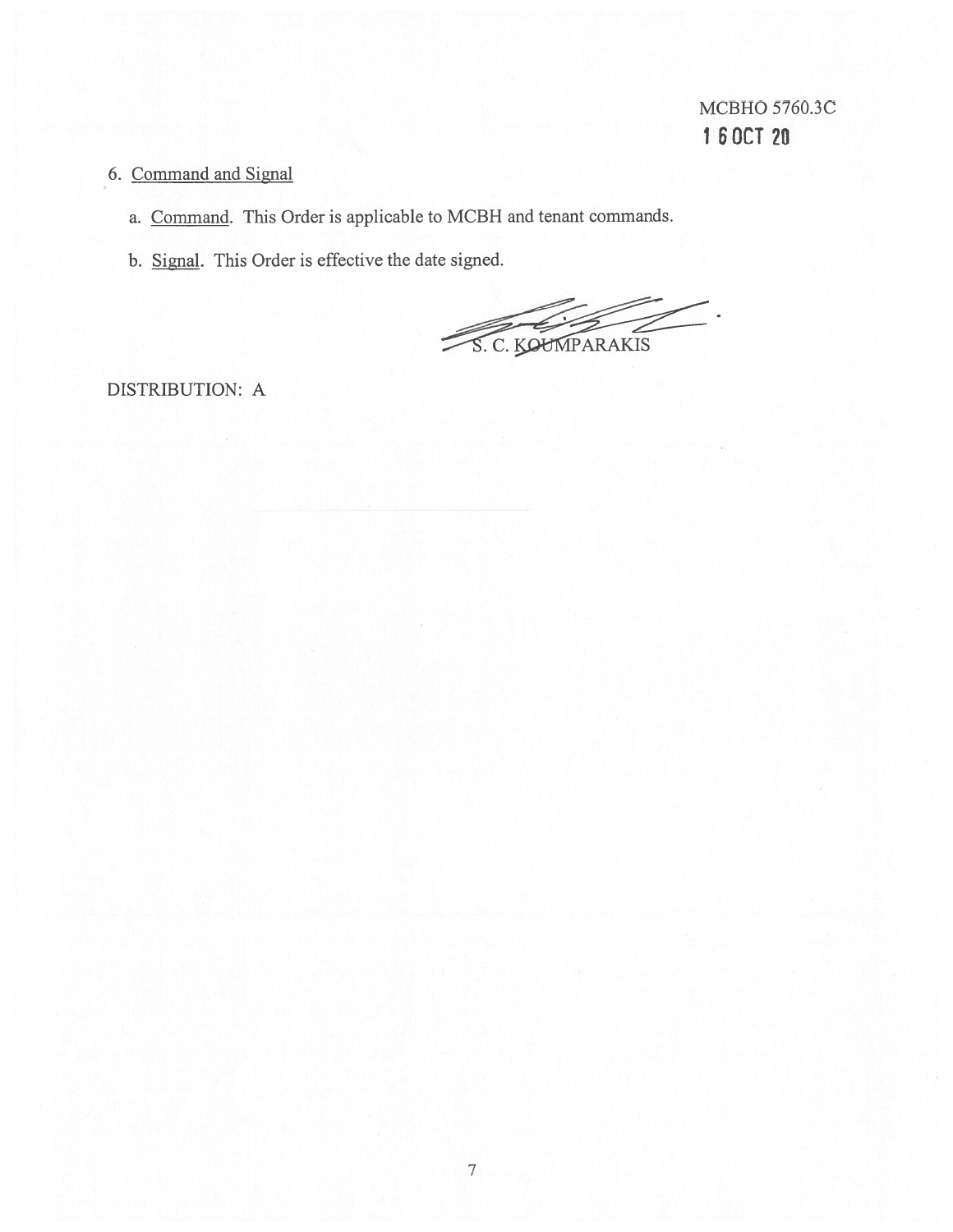# 6. Command and Signal

- a. Command. This Order is applicable to MCBH and tenant commands.
- b. Signal. This Order is effective the date signed.

S. C. KOUNPARAKIS

DISTRIBUTION: A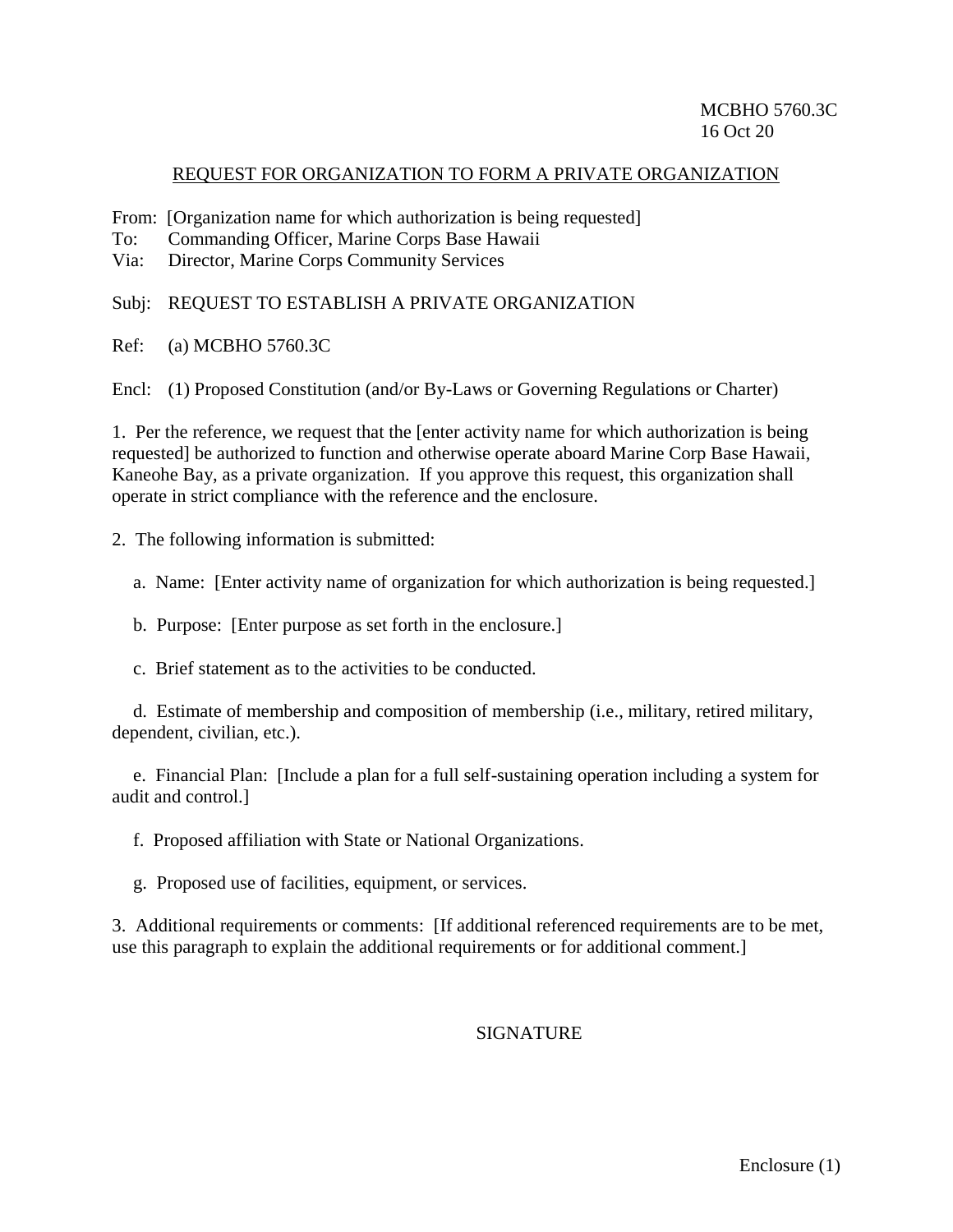#### REQUEST FOR ORGANIZATION TO FORM A PRIVATE ORGANIZATION

- From: [Organization name for which authorization is being requested]
- To: Commanding Officer, Marine Corps Base Hawaii
- Via: Director, Marine Corps Community Services

Subj: REQUEST TO ESTABLISH A PRIVATE ORGANIZATION

Ref: (a) MCBHO 5760.3C

Encl: (1) Proposed Constitution (and/or By-Laws or Governing Regulations or Charter)

1. Per the reference, we request that the [enter activity name for which authorization is being requested] be authorized to function and otherwise operate aboard Marine Corp Base Hawaii, Kaneohe Bay, as a private organization. If you approve this request, this organization shall operate in strict compliance with the reference and the enclosure.

2. The following information is submitted:

a. Name: [Enter activity name of organization for which authorization is being requested.]

b. Purpose: [Enter purpose as set forth in the enclosure.]

c. Brief statement as to the activities to be conducted.

d. Estimate of membership and composition of membership (i.e., military, retired military, dependent, civilian, etc.).

e. Financial Plan: [Include a plan for a full self-sustaining operation including a system for audit and control.]

f. Proposed affiliation with State or National Organizations.

g. Proposed use of facilities, equipment, or services.

3. Additional requirements or comments: [If additional referenced requirements are to be met, use this paragraph to explain the additional requirements or for additional comment.]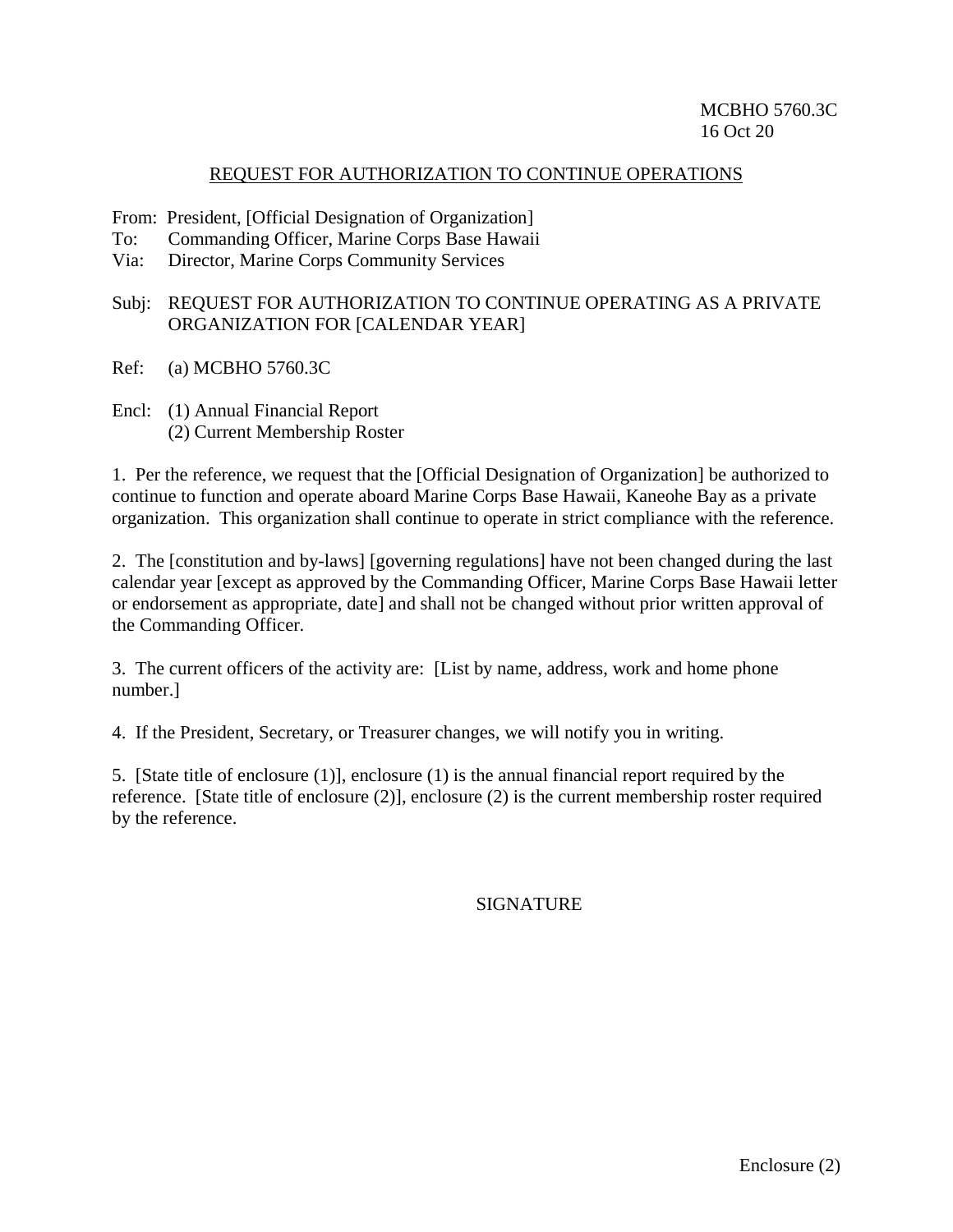#### REQUEST FOR AUTHORIZATION TO CONTINUE OPERATIONS

From: President, [Official Designation of Organization]

- To: Commanding Officer, Marine Corps Base Hawaii
- Via: Director, Marine Corps Community Services

## Subj: REQUEST FOR AUTHORIZATION TO CONTINUE OPERATING AS A PRIVATE ORGANIZATION FOR [CALENDAR YEAR]

- Ref: (a) MCBHO 5760.3C
- Encl: (1) Annual Financial Report (2) Current Membership Roster

1. Per the reference, we request that the [Official Designation of Organization] be authorized to continue to function and operate aboard Marine Corps Base Hawaii, Kaneohe Bay as a private organization. This organization shall continue to operate in strict compliance with the reference.

2. The [constitution and by-laws] [governing regulations] have not been changed during the last calendar year [except as approved by the Commanding Officer, Marine Corps Base Hawaii letter or endorsement as appropriate, date] and shall not be changed without prior written approval of the Commanding Officer.

3. The current officers of the activity are: [List by name, address, work and home phone number.]

4. If the President, Secretary, or Treasurer changes, we will notify you in writing.

5. [State title of enclosure (1)], enclosure (1) is the annual financial report required by the reference. [State title of enclosure (2)], enclosure (2) is the current membership roster required by the reference.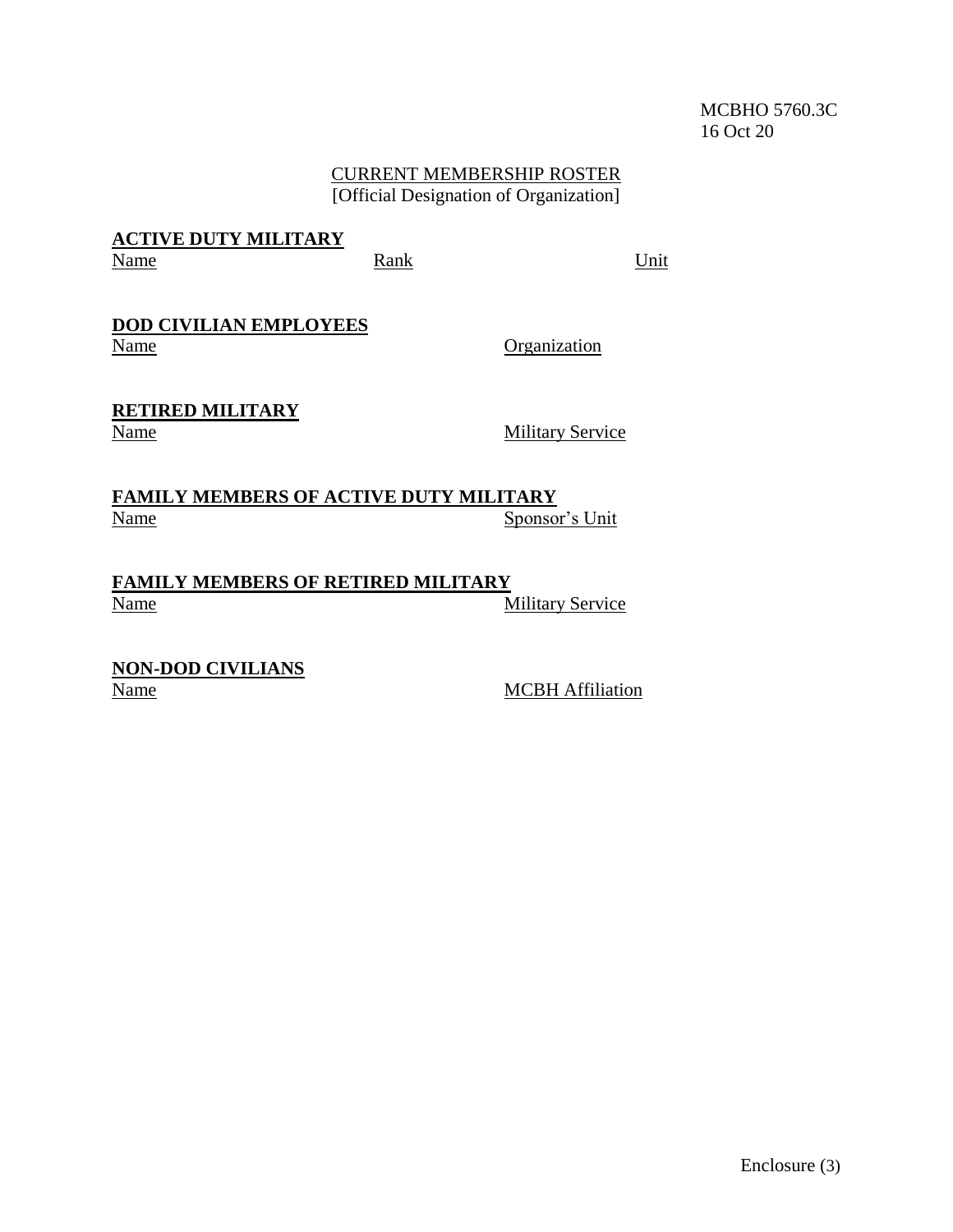## MCBHO 5760.3C 16 Oct 20

#### CURRENT MEMBERSHIP ROSTER [Official Designation of Organization]

## **ACTIVE DUTY MILITARY** Name **Rank** Rank Unit

#### **DOD CIVILIAN EMPLOYEES** Name Organization

# **RETIRED MILITARY**

Name Military Service

**FAMILY MEMBERS OF ACTIVE DUTY MILITARY**<br>Name Sponso Sponsor's Unit

**FAMILY MEMBERS OF RETIRED MILITARY** Name Military Service

**NON-DOD CIVILIANS**

**MCBH Affiliation**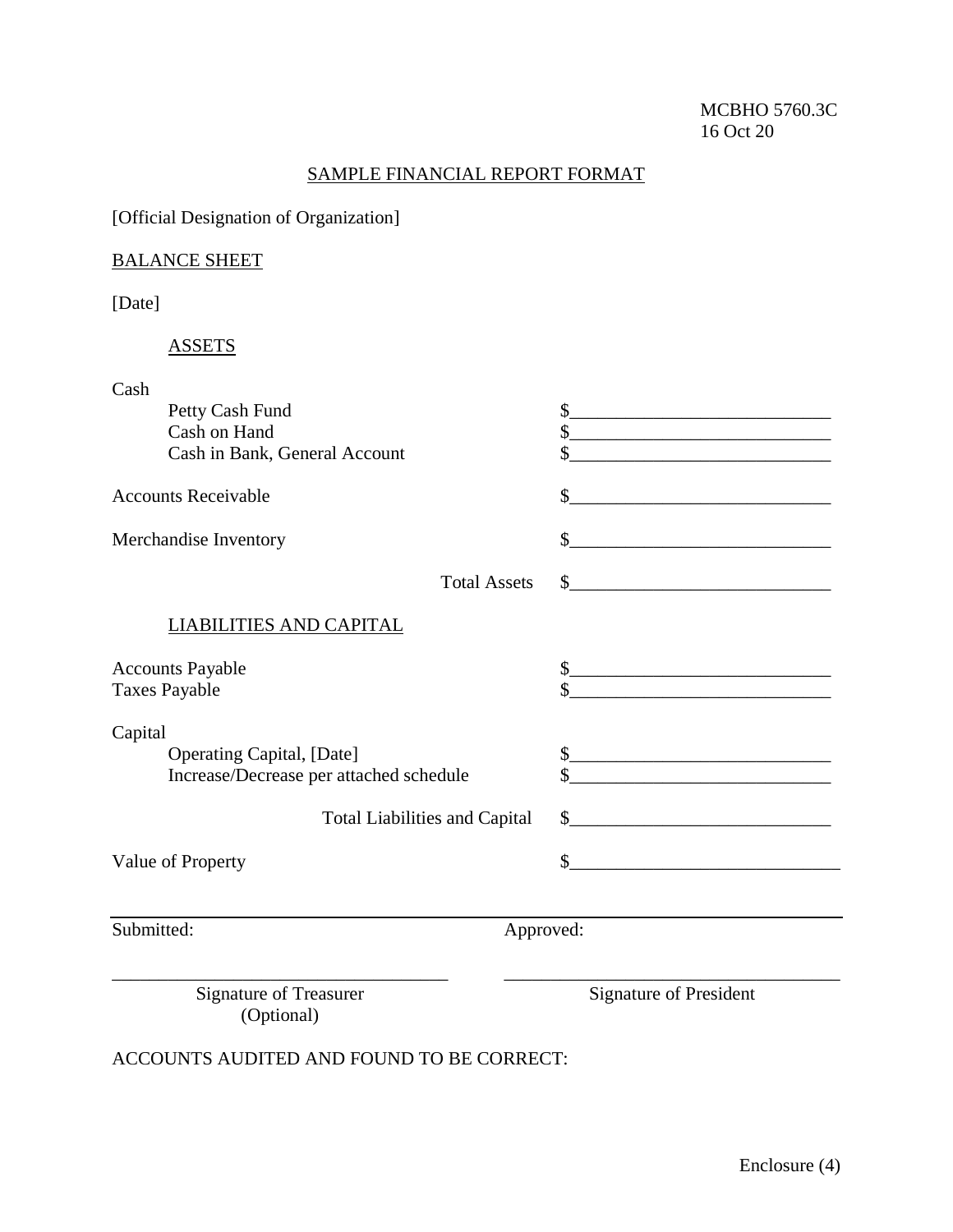## SAMPLE FINANCIAL REPORT FORMAT

[Official Designation of Organization]

# BALANCE SHEET

[Date]

# ASSETS

| Cash                                    |                                                                 |
|-----------------------------------------|-----------------------------------------------------------------|
| Petty Cash Fund                         | \$                                                              |
| Cash on Hand                            | \$                                                              |
| Cash in Bank, General Account           | \$<br><u> 1989 - Johann John Stone, mensk politik (d. 1989)</u> |
| <b>Accounts Receivable</b>              | \$                                                              |
| Merchandise Inventory                   | \$                                                              |
| <b>Total Assets</b>                     | $\frac{1}{2}$                                                   |
| LIABILITIES AND CAPITAL                 |                                                                 |
| <b>Accounts Payable</b>                 | $\frac{1}{2}$                                                   |
| <b>Taxes Payable</b>                    | \$                                                              |
| Capital                                 |                                                                 |
| <b>Operating Capital, [Date]</b>        | $\frac{1}{2}$                                                   |
| Increase/Decrease per attached schedule |                                                                 |
| <b>Total Liabilities and Capital</b>    | \$                                                              |
| Value of Property                       | \$<br><u> 1989 - Andrea Andrew Maria (h. 1989).</u>             |
|                                         |                                                                 |
| Submitted:                              | Approved:                                                       |
|                                         |                                                                 |

Signature of Treasurer (Optional)

Signature of President

ACCOUNTS AUDITED AND FOUND TO BE CORRECT: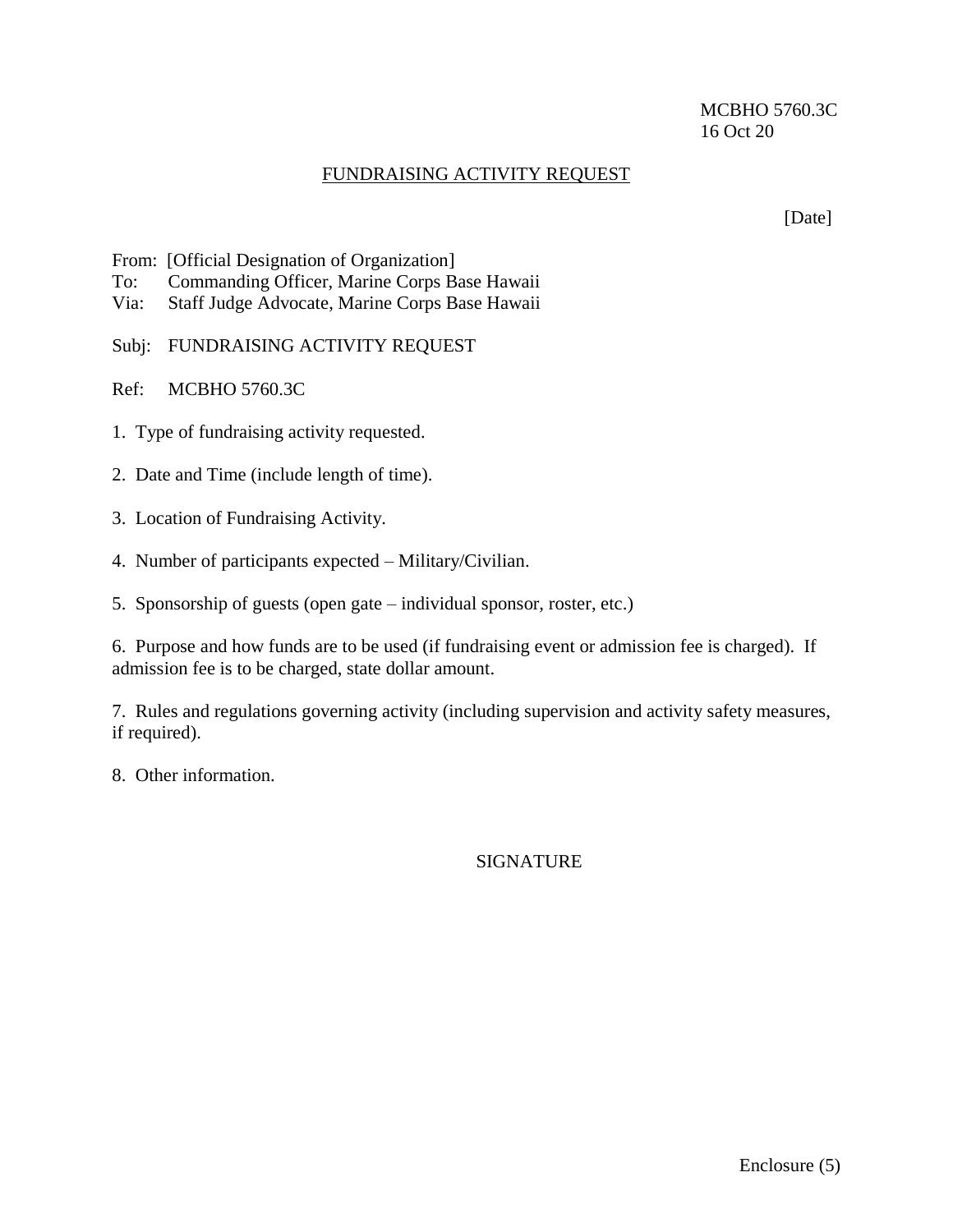## MCBHO 5760.3C 16 Oct 20

## FUNDRAISING ACTIVITY REQUEST

[Date]

- From: [Official Designation of Organization]
- To: Commanding Officer, Marine Corps Base Hawaii
- Via: Staff Judge Advocate, Marine Corps Base Hawaii
- Subj: FUNDRAISING ACTIVITY REQUEST
- Ref: MCBHO 5760.3C
- 1. Type of fundraising activity requested.
- 2. Date and Time (include length of time).
- 3. Location of Fundraising Activity.
- 4. Number of participants expected Military/Civilian.
- 5. Sponsorship of guests (open gate individual sponsor, roster, etc.)

6. Purpose and how funds are to be used (if fundraising event or admission fee is charged). If admission fee is to be charged, state dollar amount.

7. Rules and regulations governing activity (including supervision and activity safety measures, if required).

8. Other information.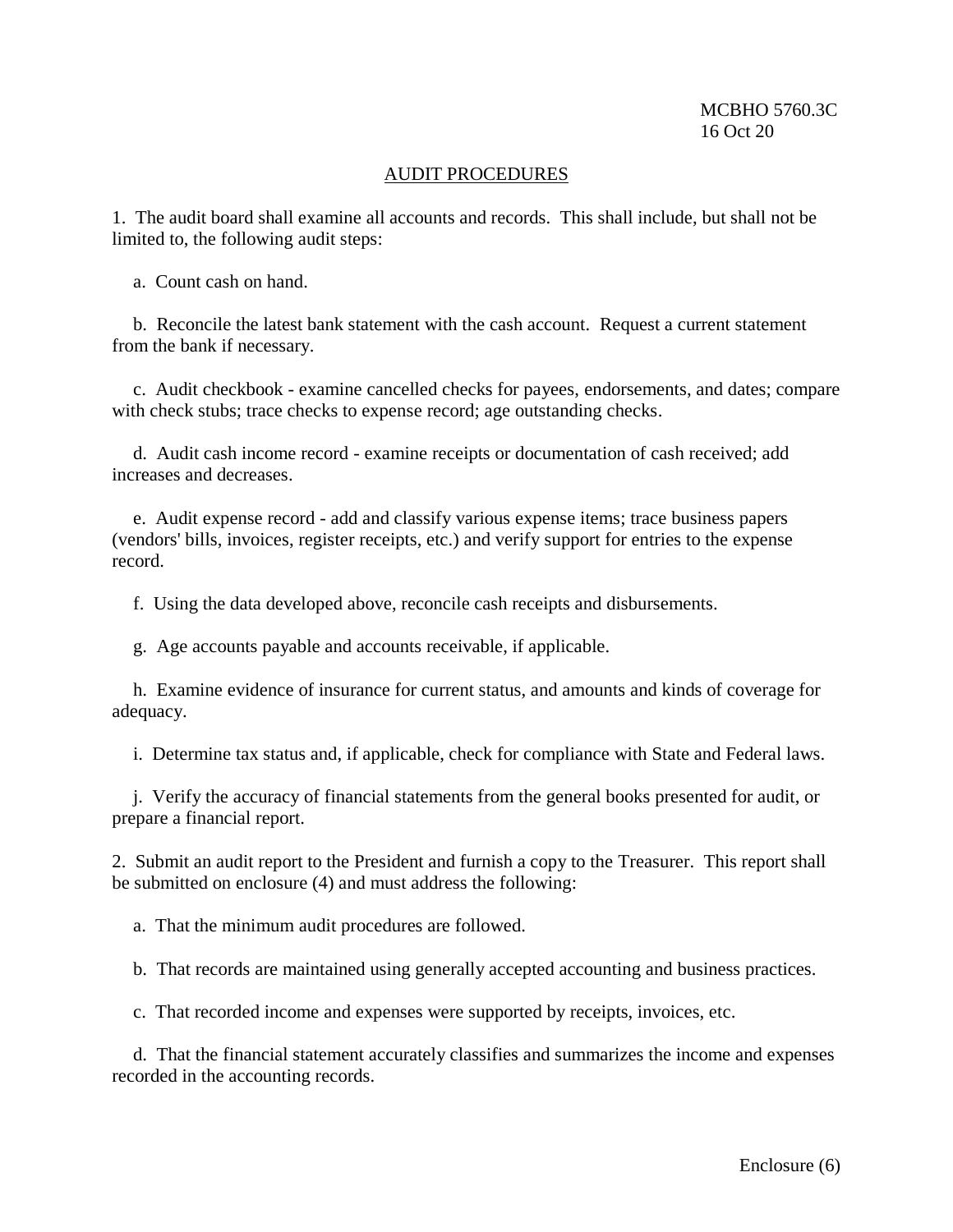#### AUDIT PROCEDURES

1. The audit board shall examine all accounts and records. This shall include, but shall not be limited to, the following audit steps:

a. Count cash on hand.

b. Reconcile the latest bank statement with the cash account. Request a current statement from the bank if necessary.

c. Audit checkbook - examine cancelled checks for payees, endorsements, and dates; compare with check stubs; trace checks to expense record; age outstanding checks.

d. Audit cash income record - examine receipts or documentation of cash received; add increases and decreases.

e. Audit expense record - add and classify various expense items; trace business papers (vendors' bills, invoices, register receipts, etc.) and verify support for entries to the expense record.

f. Using the data developed above, reconcile cash receipts and disbursements.

g. Age accounts payable and accounts receivable, if applicable.

h. Examine evidence of insurance for current status, and amounts and kinds of coverage for adequacy.

i. Determine tax status and, if applicable, check for compliance with State and Federal laws.

j. Verify the accuracy of financial statements from the general books presented for audit, or prepare a financial report.

2. Submit an audit report to the President and furnish a copy to the Treasurer. This report shall be submitted on enclosure (4) and must address the following:

a. That the minimum audit procedures are followed.

b. That records are maintained using generally accepted accounting and business practices.

c. That recorded income and expenses were supported by receipts, invoices, etc.

d. That the financial statement accurately classifies and summarizes the income and expenses recorded in the accounting records.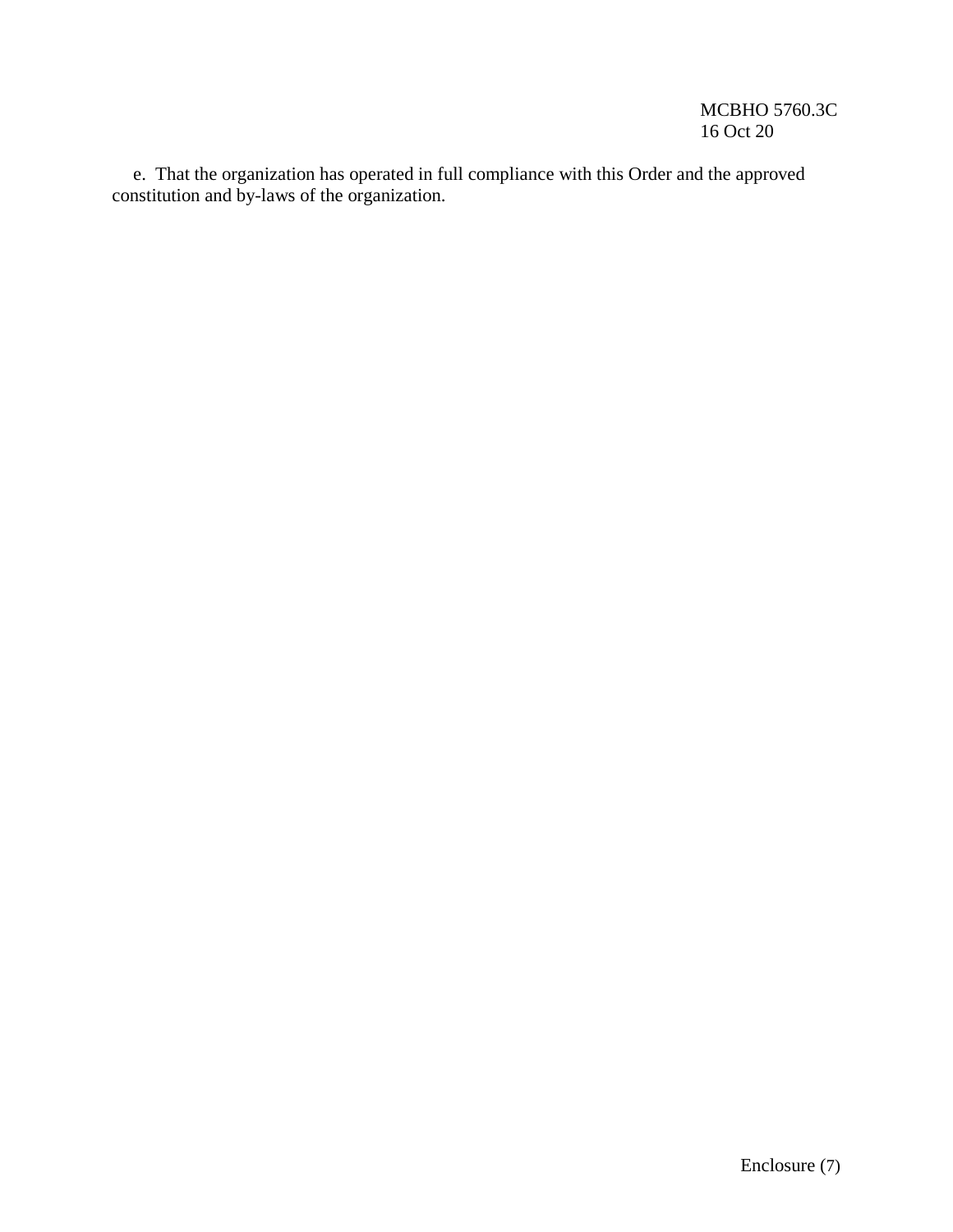e. That the organization has operated in full compliance with this Order and the approved constitution and by-laws of the organization.